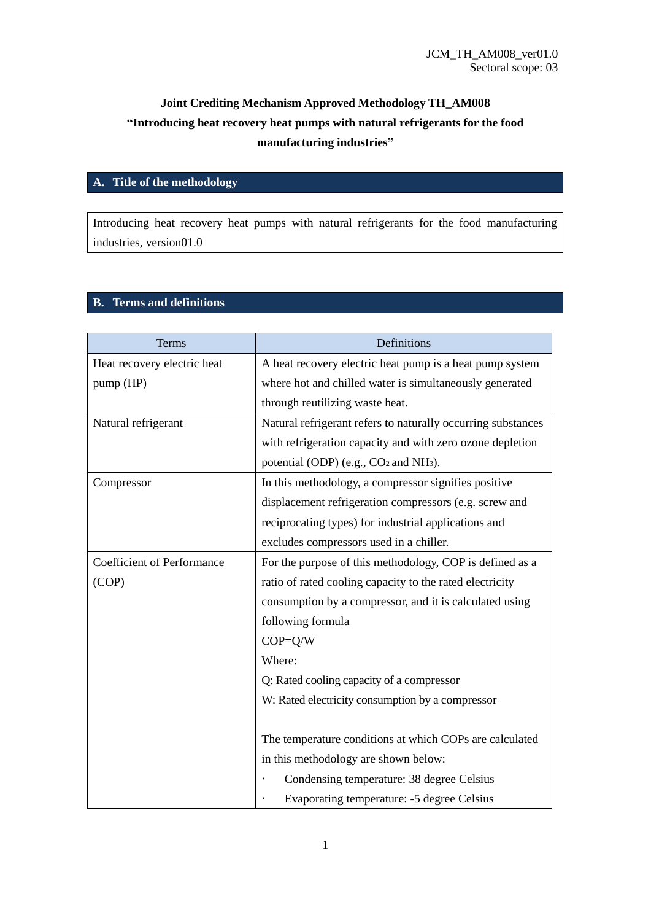# **Joint Crediting Mechanism Approved Methodology TH\_AM008 "Introducing heat recovery heat pumps with natural refrigerants for the food manufacturing industries"**

## **A. Title of the methodology**

Introducing heat recovery heat pumps with natural refrigerants for the food manufacturing industries, version01.0

# **B. Terms and definitions**

| Terms                             | Definitions                                                   |
|-----------------------------------|---------------------------------------------------------------|
| Heat recovery electric heat       | A heat recovery electric heat pump is a heat pump system      |
| pump (HP)                         | where hot and chilled water is simultaneously generated       |
|                                   | through reutilizing waste heat.                               |
| Natural refrigerant               | Natural refrigerant refers to naturally occurring substances  |
|                                   | with refrigeration capacity and with zero ozone depletion     |
|                                   | potential (ODP) (e.g., CO <sub>2</sub> and NH <sub>3</sub> ). |
| Compressor                        | In this methodology, a compressor signifies positive          |
|                                   | displacement refrigeration compressors (e.g. screw and        |
|                                   | reciprocating types) for industrial applications and          |
|                                   | excludes compressors used in a chiller.                       |
| <b>Coefficient of Performance</b> | For the purpose of this methodology, COP is defined as a      |
| (COP)                             | ratio of rated cooling capacity to the rated electricity      |
|                                   | consumption by a compressor, and it is calculated using       |
|                                   | following formula                                             |
|                                   | $COP = Q/W$                                                   |
|                                   | Where:                                                        |
|                                   | Q: Rated cooling capacity of a compressor                     |
|                                   | W: Rated electricity consumption by a compressor              |
|                                   |                                                               |
|                                   | The temperature conditions at which COPs are calculated       |
|                                   | in this methodology are shown below:                          |
|                                   | Condensing temperature: 38 degree Celsius                     |
|                                   | Evaporating temperature: -5 degree Celsius                    |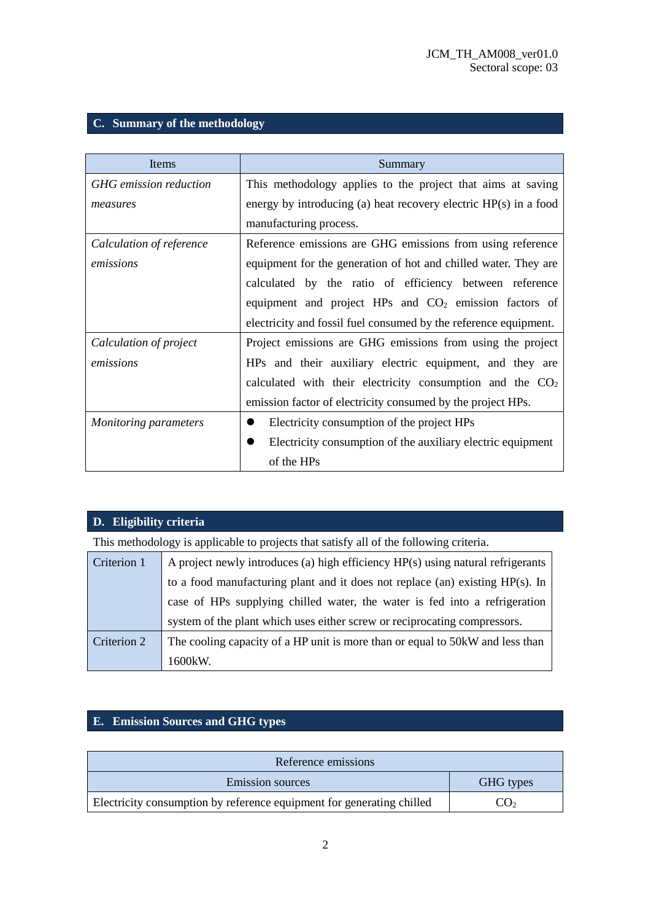## **C. Summary of the methodology**

| Items                         | Summary                                                           |
|-------------------------------|-------------------------------------------------------------------|
| <b>GHG</b> emission reduction | This methodology applies to the project that aims at saving       |
| measures                      | energy by introducing (a) heat recovery electric HP(s) in a food  |
|                               | manufacturing process.                                            |
| Calculation of reference      | Reference emissions are GHG emissions from using reference        |
| emissions                     | equipment for the generation of hot and chilled water. They are   |
|                               | calculated by the ratio of efficiency between reference           |
|                               | equipment and project HPs and CO <sub>2</sub> emission factors of |
|                               | electricity and fossil fuel consumed by the reference equipment.  |
| Calculation of project        | Project emissions are GHG emissions from using the project        |
| emissions                     | HPs and their auxiliary electric equipment, and they are          |
|                               | calculated with their electricity consumption and the $CO2$       |
|                               | emission factor of electricity consumed by the project HPs.       |
| <b>Monitoring parameters</b>  | Electricity consumption of the project HPs                        |
|                               | Electricity consumption of the auxiliary electric equipment       |
|                               | of the HPs                                                        |

## **D. Eligibility criteria**

This methodology is applicable to projects that satisfy all of the following criteria.

| Criterion 1 | A project newly introduces (a) high efficiency $HP(s)$ using natural refrigerants |  |  |  |
|-------------|-----------------------------------------------------------------------------------|--|--|--|
|             | to a food manufacturing plant and it does not replace (an) existing $HP(s)$ . In  |  |  |  |
|             | case of HPs supplying chilled water, the water is fed into a refrigeration        |  |  |  |
|             | system of the plant which uses either screw or reciprocating compressors.         |  |  |  |
| Criterion 2 | The cooling capacity of a HP unit is more than or equal to 50 kW and less than    |  |  |  |
|             | 1600kW.                                                                           |  |  |  |

# **E. Emission Sources and GHG types**

| Reference emissions                                                   |                           |  |  |
|-----------------------------------------------------------------------|---------------------------|--|--|
| <b>Emission sources</b><br>GHG types                                  |                           |  |  |
| Electricity consumption by reference equipment for generating chilled | $^{\circ}$ O <sub>2</sub> |  |  |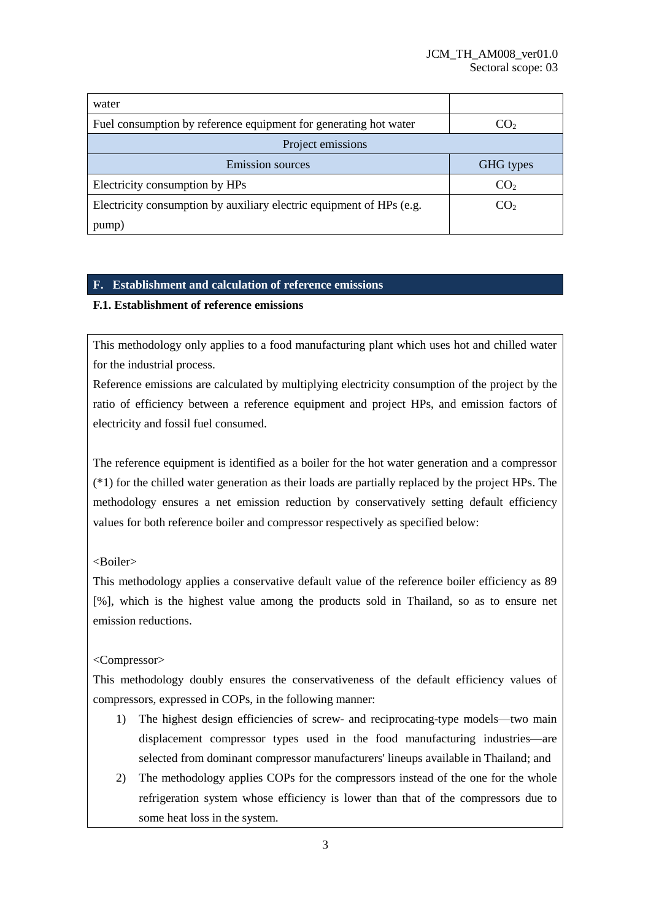| water                                                                |                 |
|----------------------------------------------------------------------|-----------------|
| Fuel consumption by reference equipment for generating hot water     | CO <sub>2</sub> |
| Project emissions                                                    |                 |
| <b>Emission sources</b>                                              | GHG types       |
| Electricity consumption by HPs                                       | CO <sub>2</sub> |
| Electricity consumption by auxiliary electric equipment of HPs (e.g. | CO <sub>2</sub> |
| pump)                                                                |                 |

## **F. Establishment and calculation of reference emissions**

### **F.1. Establishment of reference emissions**

This methodology only applies to a food manufacturing plant which uses hot and chilled water for the industrial process.

Reference emissions are calculated by multiplying electricity consumption of the project by the ratio of efficiency between a reference equipment and project HPs, and emission factors of electricity and fossil fuel consumed.

The reference equipment is identified as a boiler for the hot water generation and a compressor (\*1) for the chilled water generation as their loads are partially replaced by the project HPs. The methodology ensures a net emission reduction by conservatively setting default efficiency values for both reference boiler and compressor respectively as specified below:

#### <Boiler>

This methodology applies a conservative default value of the reference boiler efficiency as 89 [%], which is the highest value among the products sold in Thailand, so as to ensure net emission reductions.

#### <Compressor>

This methodology doubly ensures the conservativeness of the default efficiency values of compressors, expressed in COPs, in the following manner:

- 1) The highest design efficiencies of screw- and reciprocating-type models—two main displacement compressor types used in the food manufacturing industries—are selected from dominant compressor manufacturers' lineups available in Thailand; and
- 2) The methodology applies COPs for the compressors instead of the one for the whole refrigeration system whose efficiency is lower than that of the compressors due to some heat loss in the system.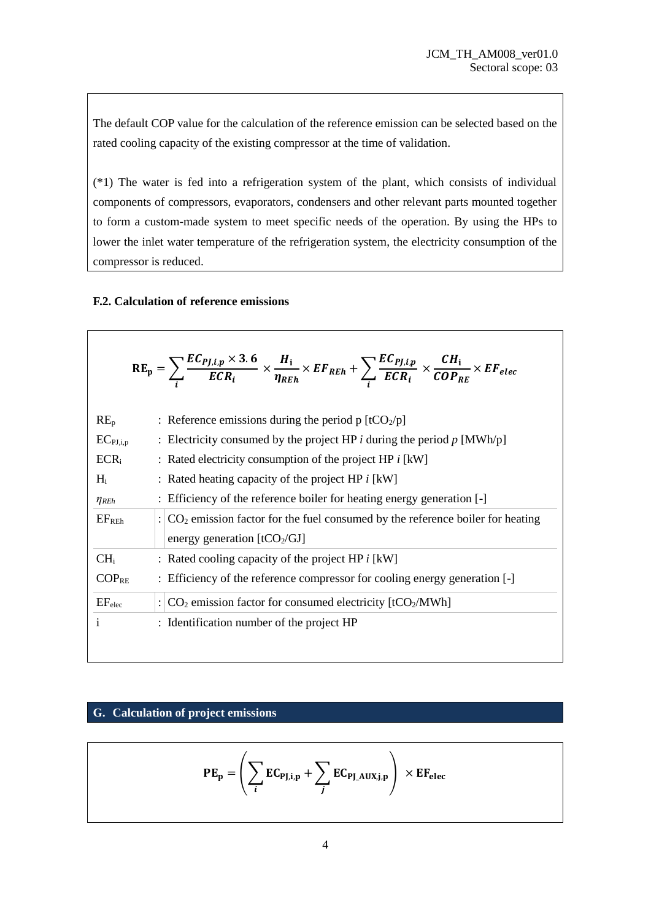The default COP value for the calculation of the reference emission can be selected based on the rated cooling capacity of the existing compressor at the time of validation.

(\*1) The water is fed into a refrigeration system of the plant, which consists of individual components of compressors, evaporators, condensers and other relevant parts mounted together to form a custom-made system to meet specific needs of the operation. By using the HPs to lower the inlet water temperature of the refrigeration system, the electricity consumption of the compressor is reduced.

#### **F.2. Calculation of reference emissions**

|                    | $RE_p = \sum_i \frac{EC_{PJ,i,p} \times 3.6}{ECR_i} \times \frac{H_i}{\eta_{REh}} \times EF_{REh} + \sum_i \frac{EC_{PJ,i,p}}{ECR_i} \times \frac{CH_i}{COP_{RE}} \times EF_{elec}$ |
|--------------------|-------------------------------------------------------------------------------------------------------------------------------------------------------------------------------------|
| $RE_{p}$           | : Reference emissions during the period p $[tCO_2/p]$                                                                                                                               |
| $EC_{PI,i,p}$      | : Electricity consumed by the project HP <i>i</i> during the period $p$ [MWh/p]                                                                                                     |
| $ECR_i$            | : Rated electricity consumption of the project HP $i$ [kW]                                                                                                                          |
| $H_i$              | : Rated heating capacity of the project HP $i$ [kW]                                                                                                                                 |
| $\eta_{REh}$       | : Efficiency of the reference boiler for heating energy generation [-]                                                                                                              |
| EF <sub>REh</sub>  | $\therefore$ CO <sub>2</sub> emission factor for the fuel consumed by the reference boiler for heating<br>energy generation [tCO <sub>2</sub> /GJ]                                  |
| CH <sub>i</sub>    | : Rated cooling capacity of the project HP $i$ [kW]                                                                                                                                 |
| $COP_{RE}$         | : Efficiency of the reference compressor for cooling energy generation [-]                                                                                                          |
| EF <sub>elec</sub> | : $CO2$ emission factor for consumed electricity [tCO <sub>2</sub> /MWh]                                                                                                            |
| $\mathbf{i}$       | : Identification number of the project HP                                                                                                                                           |
|                    |                                                                                                                                                                                     |

### **G. Calculation of project emissions**

$$
PE_p = \left(\sum_i EC_{PJ,i,p} + \sum_j EC_{PJ_AUX,j,p}\right) \times EF_{elec}
$$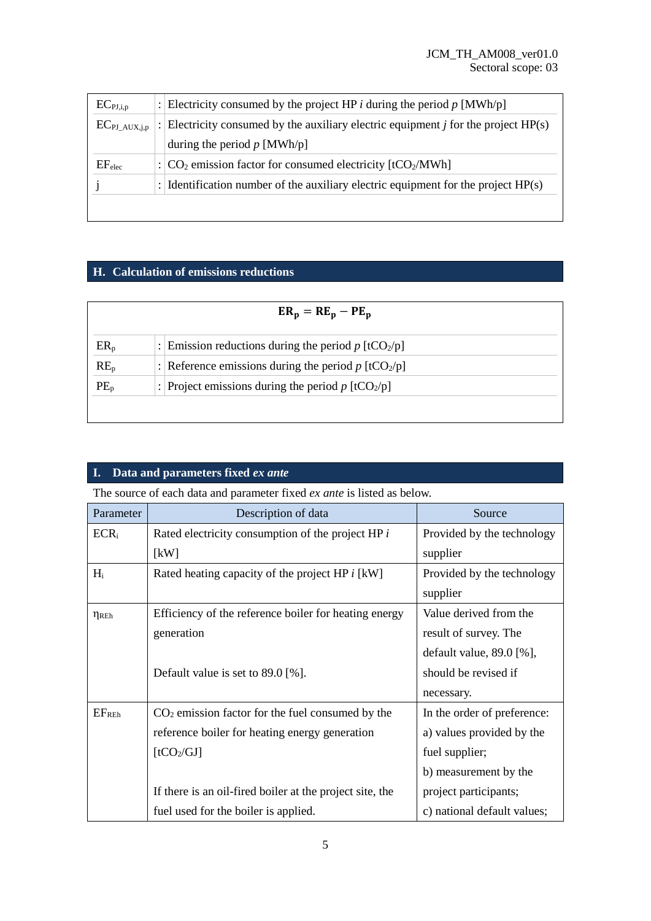| $EC_{PI,i,p}$       | : Electricity consumed by the project HP <i>i</i> during the period $p$ [MWh/p]      |
|---------------------|--------------------------------------------------------------------------------------|
| $EC_{PI\_AUX, j,p}$ | Electricity consumed by the auxiliary electric equipment $j$ for the project $HP(s)$ |
|                     | during the period $p$ [MWh/p]                                                        |
| EF <sub>elec</sub>  | : $ CO_2 $ emission factor for consumed electricity $[tCO_2/MWh]$                    |
|                     | : Identification number of the auxiliary electric equipment for the project $HP(s)$  |
|                     |                                                                                      |

## **H. Calculation of emissions reductions**

| $ER_p = RE_p - PE_p$ |                                                                   |  |  |
|----------------------|-------------------------------------------------------------------|--|--|
| $ER_p$               | Emission reductions during the period $p$ [tCO <sub>2</sub> /p]   |  |  |
| $RE_p$               | : Reference emissions during the period $p$ [tCO <sub>2</sub> /p] |  |  |
| $PE_{p}$             | Project emissions during the period $p$ [tCO <sub>2</sub> /p]     |  |  |
|                      |                                                                   |  |  |

## **I. Data and parameters fixed** *ex ante*

The source of each data and parameter fixed *ex ante* is listed as below.

| Parameter           | Description of data                                      | Source                      |
|---------------------|----------------------------------------------------------|-----------------------------|
| $ECR_i$             | Rated electricity consumption of the project HP $i$      | Provided by the technology  |
|                     | kW                                                       | supplier                    |
| $H_i$               | Rated heating capacity of the project HP i [kW]          | Provided by the technology  |
|                     |                                                          | supplier                    |
| $\eta_{\text{REh}}$ | Efficiency of the reference boiler for heating energy    | Value derived from the      |
|                     | generation                                               | result of survey. The       |
|                     |                                                          | default value, $89.0$ [%],  |
|                     | Default value is set to $89.0$ [%].                      | should be revised if        |
|                     |                                                          | necessary.                  |
| EF <sub>REh</sub>   | $CO2$ emission factor for the fuel consumed by the       | In the order of preference: |
|                     | reference boiler for heating energy generation           | a) values provided by the   |
|                     | [tCO <sub>2</sub> /GI]                                   | fuel supplier;              |
|                     |                                                          | b) measurement by the       |
|                     | If there is an oil-fired boiler at the project site, the | project participants;       |
|                     | fuel used for the boiler is applied.                     | c) national default values; |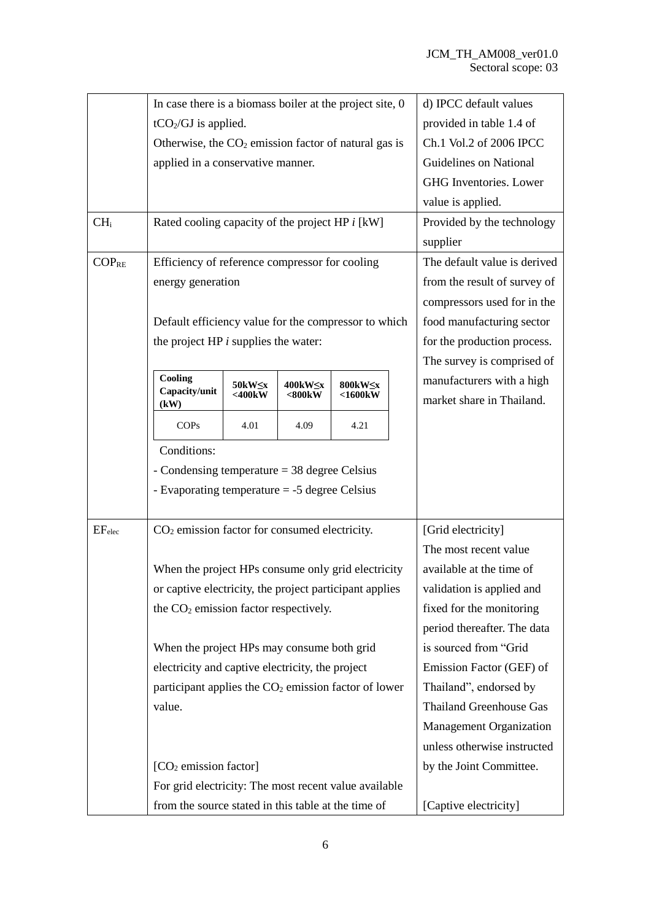|                    | In case there is a biomass boiler at the project site, $0$       |        |                    |               |                       | d) IPCC default values         |
|--------------------|------------------------------------------------------------------|--------|--------------------|---------------|-----------------------|--------------------------------|
|                    | $tCO2/GI$ is applied.                                            |        |                    |               |                       | provided in table 1.4 of       |
|                    | Otherwise, the $CO2$ emission factor of natural gas is           |        |                    |               |                       | Ch.1 Vol.2 of 2006 IPCC        |
|                    | applied in a conservative manner.                                |        |                    |               |                       | Guidelines on National         |
|                    |                                                                  |        |                    |               |                       | GHG Inventories. Lower         |
|                    |                                                                  |        |                    |               |                       | value is applied.              |
| CH <sub>i</sub>    | Rated cooling capacity of the project HP i [kW]                  |        |                    |               |                       | Provided by the technology     |
|                    |                                                                  |        |                    |               |                       | supplier                       |
| $COP_{RE}$         | Efficiency of reference compressor for cooling                   |        |                    |               |                       | The default value is derived   |
|                    | energy generation                                                |        |                    |               |                       | from the result of survey of   |
|                    |                                                                  |        |                    |               |                       | compressors used for in the    |
|                    | Default efficiency value for the compressor to which             |        |                    |               |                       | food manufacturing sector      |
|                    | the project $HP$ i supplies the water:                           |        |                    |               |                       | for the production process.    |
|                    |                                                                  |        |                    |               |                       | The survey is comprised of     |
|                    | Cooling                                                          | 50kW≤x | $400$ k $W \leq x$ | 800kW≤x       |                       | manufacturers with a high      |
|                    | Capacity/unit<br>(kW)                                            | <400kW | <800kW             | $<$ 1600 $kW$ |                       | market share in Thailand.      |
|                    | <b>COPs</b>                                                      | 4.01   | 4.09               | 4.21          |                       |                                |
|                    | Conditions:                                                      |        |                    |               |                       |                                |
|                    | - Condensing temperature $=$ 38 degree Celsius                   |        |                    |               |                       |                                |
|                    | - Evaporating temperature $=$ -5 degree Celsius                  |        |                    |               |                       |                                |
|                    |                                                                  |        |                    |               |                       |                                |
| EF <sub>elec</sub> | $CO2$ emission factor for consumed electricity.                  |        |                    |               |                       | [Grid electricity]             |
|                    |                                                                  |        |                    |               |                       | The most recent value          |
|                    | When the project HPs consume only grid electricity               |        |                    |               |                       | available at the time of       |
|                    | or captive electricity, the project participant applies          |        |                    |               |                       | validation is applied and      |
|                    | the CO <sub>2</sub> emission factor respectively.                |        |                    |               |                       | fixed for the monitoring       |
|                    |                                                                  |        |                    |               |                       | period thereafter. The data    |
|                    | When the project HPs may consume both grid                       |        |                    |               |                       | is sourced from "Grid          |
|                    | electricity and captive electricity, the project                 |        |                    |               |                       | Emission Factor (GEF) of       |
|                    | participant applies the CO <sub>2</sub> emission factor of lower |        |                    |               |                       | Thailand", endorsed by         |
|                    | value.                                                           |        |                    |               |                       | <b>Thailand Greenhouse Gas</b> |
|                    |                                                                  |        |                    |               |                       | <b>Management Organization</b> |
|                    |                                                                  |        |                    |               |                       | unless otherwise instructed    |
|                    | $[CO2$ emission factor]                                          |        |                    |               |                       | by the Joint Committee.        |
|                    | For grid electricity: The most recent value available            |        |                    |               |                       |                                |
|                    | from the source stated in this table at the time of              |        |                    |               | [Captive electricity] |                                |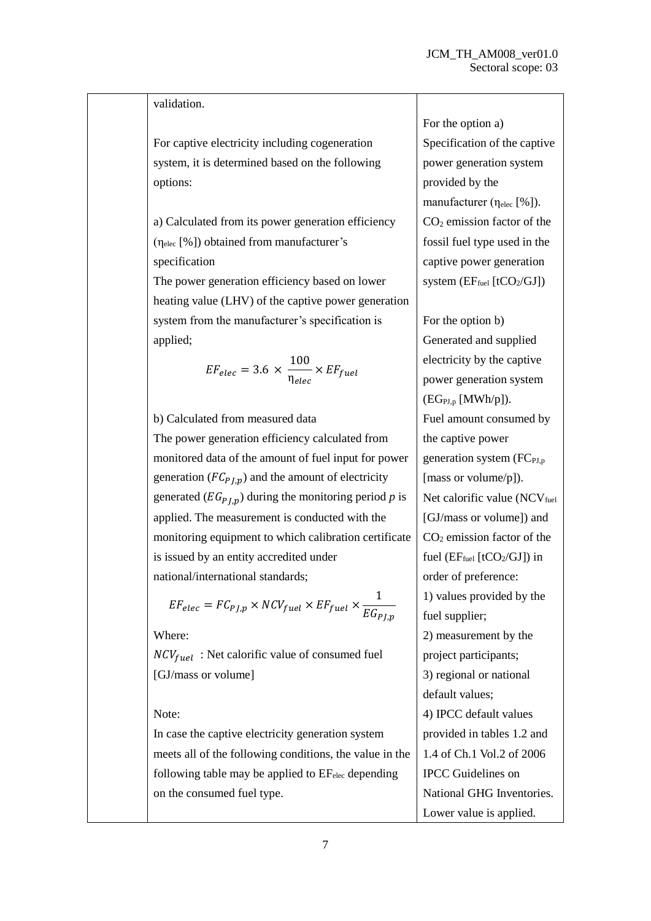#### validation.

For captive electricity including cogeneration system, it is determined based on the following options:

a) Calculated from its power generation efficiency (ηelec [%]) obtained from manufacturer's specification

The power generation efficiency based on lower heating value (LHV) of the captive power generation system from the manufacturer's specification is applied;

$$
EF_{elec} = 3.6 \times \frac{100}{\eta_{elec}} \times EF_{fuel}
$$

b) Calculated from measured data

The power generation efficiency calculated from monitored data of the amount of fuel input for power generation ( $FC_{PLD}$ ) and the amount of electricity generated  $(EG_{PLD})$  during the monitoring period *p* is applied. The measurement is conducted with the monitoring equipment to which calibration certificate is issued by an entity accredited under national/international standards;

$$
EF_{elec} = FC_{PJ,p} \times NCV_{fuel} \times EF_{fuel} \times \frac{1}{EG_{PJ,p}}
$$

Where:

 $NCV_{fuel}$ : Net calorific value of consumed fuel [GJ/mass or volume]

#### Note:

In case the captive electricity generation system meets all of the following conditions, the value in the following table may be applied to  $EF_{elec}$  depending on the consumed fuel type.

For the option a) Specification of the captive power generation system provided by the manufacturer (η<sub>elec</sub> [%]).  $CO<sub>2</sub>$  emission factor of the fossil fuel type used in the captive power generation system  $(EF_{fuel} [tCO<sub>2</sub>/GI])$ 

For the option b) Generated and supplied electricity by the captive power generation system  $(EG_{PI,p} [MWh/p]).$ Fuel amount consumed by the captive power generation system  $(FC_{PI,p})$ [mass or volume/p]). Net calorific value  $(NCV_{fuel})$ [GJ/mass or volume]) and  $CO<sub>2</sub>$  emission factor of the fuel  $(EF_{fuel}$  [tCO<sub>2</sub>/GJ]) in order of preference: 1) values provided by the fuel supplier; 2) measurement by the project participants; 3) regional or national default values; 4) IPCC default values provided in tables 1.2 and 1.4 of Ch.1 Vol.2 of 2006 IPCC Guidelines on National GHG Inventories. Lower value is applied.